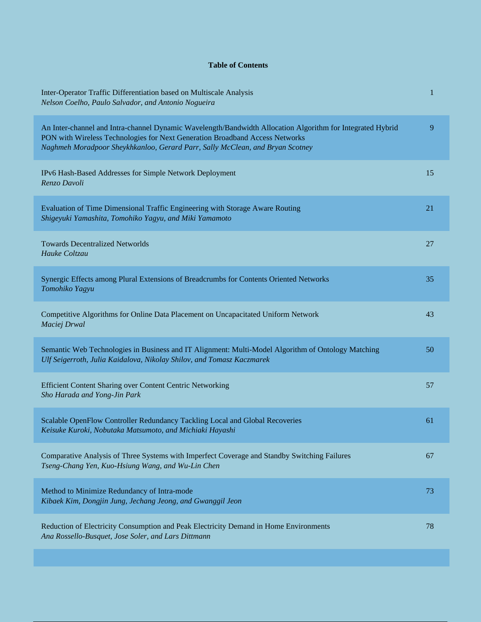## **Table of Contents**

| Inter-Operator Traffic Differentiation based on Multiscale Analysis<br>Nelson Coelho, Paulo Salvador, and Antonio Nogueira                                                                                                                                                  | 1  |
|-----------------------------------------------------------------------------------------------------------------------------------------------------------------------------------------------------------------------------------------------------------------------------|----|
| An Inter-channel and Intra-channel Dynamic Wavelength/Bandwidth Allocation Algorithm for Integrated Hybrid<br>PON with Wireless Technologies for Next Generation Broadband Access Networks<br>Naghmeh Moradpoor Sheykhkanloo, Gerard Parr, Sally McClean, and Bryan Scotney | 9  |
| IPv6 Hash-Based Addresses for Simple Network Deployment<br>Renzo Davoli                                                                                                                                                                                                     | 15 |
| Evaluation of Time Dimensional Traffic Engineering with Storage Aware Routing<br>Shigeyuki Yamashita, Tomohiko Yagyu, and Miki Yamamoto                                                                                                                                     | 21 |
| <b>Towards Decentralized Networlds</b><br>Hauke Coltzau                                                                                                                                                                                                                     | 27 |
| Synergic Effects among Plural Extensions of Breadcrumbs for Contents Oriented Networks<br>Tomohiko Yagyu                                                                                                                                                                    | 35 |
| Competitive Algorithms for Online Data Placement on Uncapacitated Uniform Network<br>Maciej Drwal                                                                                                                                                                           | 43 |
| Semantic Web Technologies in Business and IT Alignment: Multi-Model Algorithm of Ontology Matching<br>Ulf Seigerroth, Julia Kaidalova, Nikolay Shilov, and Tomasz Kaczmarek                                                                                                 | 50 |
| Efficient Content Sharing over Content Centric Networking<br>Sho Harada and Yong-Jin Park                                                                                                                                                                                   | 57 |
| Scalable OpenFlow Controller Redundancy Tackling Local and Global Recoveries<br>Keisuke Kuroki, Nobutaka Matsumoto, and Michiaki Hayashi                                                                                                                                    | 61 |
| Comparative Analysis of Three Systems with Imperfect Coverage and Standby Switching Failures<br>Tseng-Chang Yen, Kuo-Hsiung Wang, and Wu-Lin Chen                                                                                                                           | 67 |
| Method to Minimize Redundancy of Intra-mode<br>Kibaek Kim, Dongjin Jung, Jechang Jeong, and Gwanggil Jeon                                                                                                                                                                   | 73 |
| Reduction of Electricity Consumption and Peak Electricity Demand in Home Environments<br>Ana Rossello-Busquet, Jose Soler, and Lars Dittmann                                                                                                                                | 78 |